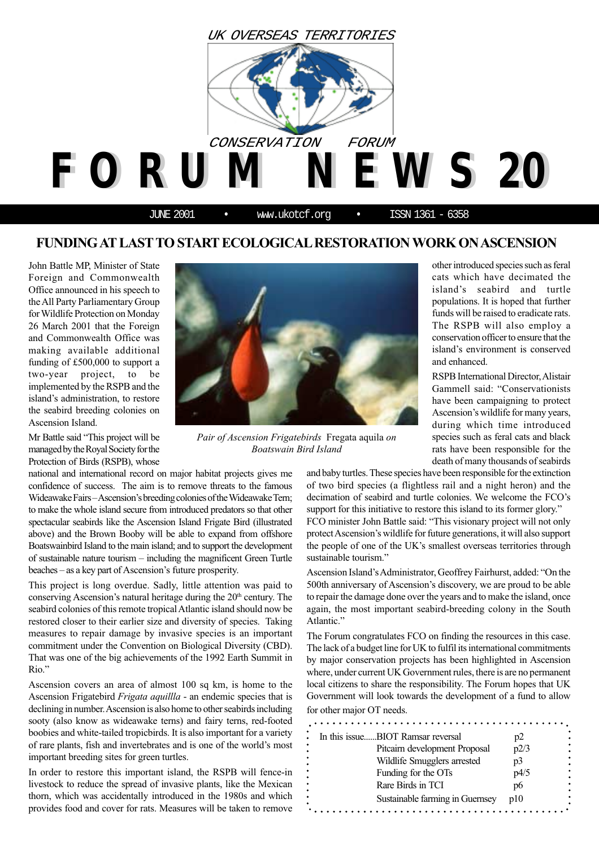

# **FUNDING AT LAST TO START ECOLOGICAL RESTORATION WORK ON ASCENSION**

John Battle MP, Minister of State Foreign and Commonwealth Office announced in his speech to the All Party Parliamentary Group for Wildlife Protection on Monday 26 March 2001 that the Foreign and Commonwealth Office was making available additional funding of £500,000 to support a two-year project, to be implemented by the RSPB and the island's administration, to restore the seabird breeding colonies on Ascension Island.

Mr Battle said "This project will be managed by the Royal Society for the Protection of Birds (RSPB), whose

national and international record on major habitat projects gives me confidence of success. The aim is to remove threats to the famous Wideawake Fairs – Ascension's breeding colonies of the Wideawake Tern; to make the whole island secure from introduced predators so that other spectacular seabirds like the Ascension Island Frigate Bird (illustrated above) and the Brown Booby will be able to expand from offshore Boatswainbird Island to the main island; and to support the development of sustainable nature tourism – including the magnificent Green Turtle beaches – as a key part of Ascension's future prosperity.

This project is long overdue. Sadly, little attention was paid to conserving Ascension's natural heritage during the  $20<sup>th</sup>$  century. The seabird colonies of this remote tropical Atlantic island should now be restored closer to their earlier size and diversity of species. Taking measures to repair damage by invasive species is an important commitment under the Convention on Biological Diversity (CBD). That was one of the big achievements of the 1992 Earth Summit in Rio."

Ascension covers an area of almost 100 sq km, is home to the Ascension Frigatebird *Frigata aquillla* - an endemic species that is declining in number. Ascension is also home to other seabirds including sooty (also know as wideawake terns) and fairy terns, red-footed boobies and white-tailed tropicbirds. It is also important for a variety of rare plants, fish and invertebrates and is one of the world's most important breeding sites for green turtles.

In order to restore this important island, the RSPB will fence-in livestock to reduce the spread of invasive plants, like the Mexican thorn, which was accidentally introduced in the 1980s and which provides food and cover for rats. Measures will be taken to remove



*Pair of Ascension Frigatebirds* Fregata aquila *on Boatswain Bird Island*

other introduced species such as feral cats which have decimated the island's seabird and turtle populations. It is hoped that further funds will be raised to eradicate rats. The RSPB will also employ a conservation officer to ensure that the island's environment is conserved and enhanced.

RSPB International Director, Alistair Gammell said: "Conservationists have been campaigning to protect Ascension's wildlife for many years, during which time introduced species such as feral cats and black rats have been responsible for the death of many thousands of seabirds

and baby turtles. These species have been responsible for the extinction of two bird species (a flightless rail and a night heron) and the decimation of seabird and turtle colonies. We welcome the FCO's support for this initiative to restore this island to its former glory."

FCO minister John Battle said: "This visionary project will not only protect Ascension's wildlife for future generations, it will also support the people of one of the UK's smallest overseas territories through sustainable tourism."

Ascension Island's Administrator, Geoffrey Fairhurst, added: "On the 500th anniversary of Ascension's discovery, we are proud to be able to repair the damage done over the years and to make the island, once again, the most important seabird-breeding colony in the South Atlantic."

The Forum congratulates FCO on finding the resources in this case. The lack of a budget line for UK to fulfil its international commitments by major conservation projects has been highlighted in Ascension where, under current UK Government rules, there is are no permanent local citizens to share the responsibility. The Forum hopes that UK Government will look towards the development of a fund to allow for other major OT needs.

| In this issueBIOT Ramsar reversal | p2   |  |
|-----------------------------------|------|--|
| Pitcairn development Proposal     | p2/3 |  |
| Wildlife Smugglers arrested       | p3   |  |
| Funding for the OTs               | p4/5 |  |
| Rare Birds in TCI                 | p6   |  |
| Sustainable farming in Guernsey   | n10  |  |
|                                   |      |  |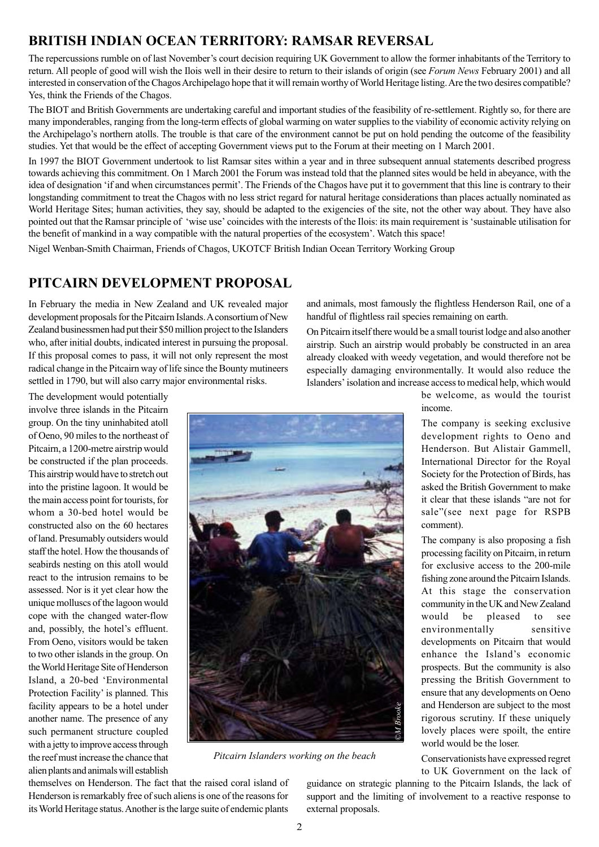# **BRITISH INDIAN OCEAN TERRITORY: RAMSAR REVERSAL**

The repercussions rumble on of last November's court decision requiring UK Government to allow the former inhabitants of the Territory to return. All people of good will wish the Ilois well in their desire to return to their islands of origin (see *Forum News* February 2001) and all interested in conservation of the Chagos Archipelago hope that it will remain worthy of World Heritage listing. Are the two desires compatible? Yes, think the Friends of the Chagos.

The BIOT and British Governments are undertaking careful and important studies of the feasibility of re-settlement. Rightly so, for there are many imponderables, ranging from the long-term effects of global warming on water supplies to the viability of economic activity relying on the Archipelago's northern atolls. The trouble is that care of the environment cannot be put on hold pending the outcome of the feasibility studies. Yet that would be the effect of accepting Government views put to the Forum at their meeting on 1 March 2001.

In 1997 the BIOT Government undertook to list Ramsar sites within a year and in three subsequent annual statements described progress towards achieving this commitment. On 1 March 2001 the Forum was instead told that the planned sites would be held in abeyance, with the idea of designation 'if and when circumstances permit'. The Friends of the Chagos have put it to government that this line is contrary to their longstanding commitment to treat the Chagos with no less strict regard for natural heritage considerations than places actually nominated as World Heritage Sites; human activities, they say, should be adapted to the exigencies of the site, not the other way about. They have also pointed out that the Ramsar principle of 'wise use' coincides with the interests of the Ilois: its main requirement is 'sustainable utilisation for the benefit of mankind in a way compatible with the natural properties of the ecosystem'. Watch this space!

Nigel Wenban-Smith Chairman, Friends of Chagos, UKOTCF British Indian Ocean Territory Working Group

### **PITCAIRN DEVELOPMENT PROPOSAL**

In February the media in New Zealand and UK revealed major development proposals for the Pitcairn Islands. A consortium of New Zealand businessmen had put their \$50 million project to the Islanders who, after initial doubts, indicated interest in pursuing the proposal. If this proposal comes to pass, it will not only represent the most radical change in the Pitcairn way of life since the Bounty mutineers settled in 1790, but will also carry major environmental risks.

The development would potentially involve three islands in the Pitcairn group. On the tiny uninhabited atoll of Oeno, 90 miles to the northeast of Pitcairn, a 1200-metre airstrip would be constructed if the plan proceeds. This airstrip would have to stretch out into the pristine lagoon. It would be the main access point for tourists, for whom a 30-bed hotel would be constructed also on the 60 hectares of land. Presumably outsiders would staff the hotel. How the thousands of seabirds nesting on this atoll would react to the intrusion remains to be assessed. Nor is it yet clear how the unique molluscs of the lagoon would cope with the changed water-flow and, possibly, the hotel's effluent. From Oeno, visitors would be taken to two other islands in the group. On the World Heritage Site of Henderson Island, a 20-bed 'Environmental Protection Facility' is planned. This facility appears to be a hotel under another name. The presence of any such permanent structure coupled with a jetty to improve access through the reef must increase the chance that alien plants and animals will establish



airstrip. Such an airstrip would probably be constructed in an area already cloaked with weedy vegetation, and would therefore not be especially damaging environmentally. It would also reduce the Islanders' isolation and increase access to medical help, which would



*Pitcairn Islanders working on the beach*

themselves on Henderson. The fact that the raised coral island of Henderson is remarkably free of such aliens is one of the reasons for its World Heritage status. Another is the large suite of endemic plants

be welcome, as would the tourist income. The company is seeking exclusive

development rights to Oeno and Henderson. But Alistair Gammell, International Director for the Royal Society for the Protection of Birds, has asked the British Government to make it clear that these islands "are not for sale"(see next page for RSPB comment).

The company is also proposing a fish processing facility on Pitcairn, in return for exclusive access to the 200-mile fishing zone around the Pitcairn Islands. At this stage the conservation community in the UK and New Zealand would be pleased to see environmentally sensitive developments on Pitcairn that would enhance the Island's economic prospects. But the community is also pressing the British Government to ensure that any developments on Oeno and Henderson are subject to the most rigorous scrutiny. If these uniquely lovely places were spoilt, the entire world would be the loser.

Conservationists have expressed regret to UK Government on the lack of

guidance on strategic planning to the Pitcairn Islands, the lack of support and the limiting of involvement to a reactive response to external proposals.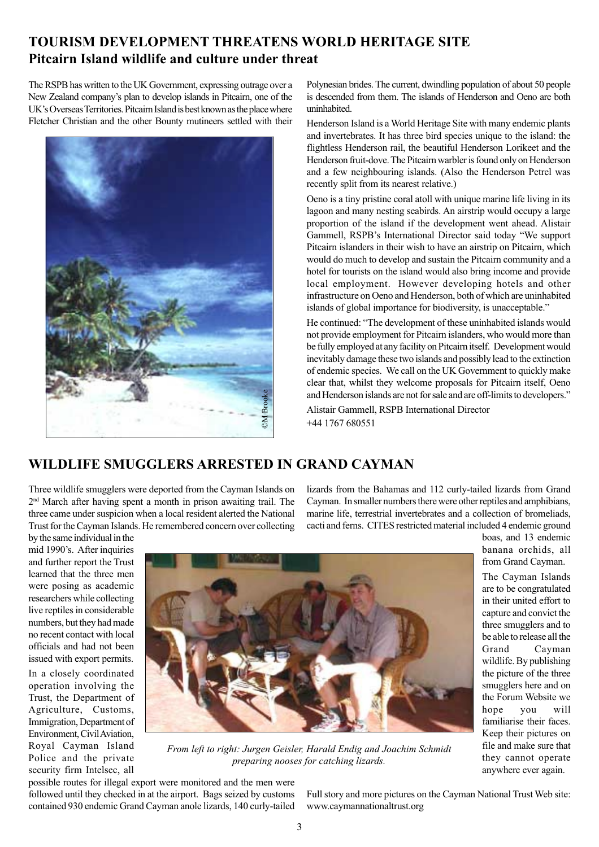# **TOURISM DEVELOPMENT THREATENS WORLD HERITAGE SITE Pitcairn Island wildlife and culture under threat**

The RSPB has written to the UK Government, expressing outrage over a New Zealand company's plan to develop islands in Pitcairn, one of the UK's Overseas Territories. Pitcairn Island is best known as the place where Fletcher Christian and the other Bounty mutineers settled with their



Polynesian brides. The current, dwindling population of about 50 people is descended from them. The islands of Henderson and Oeno are both uninhabited.

Henderson Island is a World Heritage Site with many endemic plants and invertebrates. It has three bird species unique to the island: the flightless Henderson rail, the beautiful Henderson Lorikeet and the Henderson fruit-dove. The Pitcairn warbler is found only on Henderson and a few neighbouring islands. (Also the Henderson Petrel was recently split from its nearest relative.)

Oeno is a tiny pristine coral atoll with unique marine life living in its lagoon and many nesting seabirds. An airstrip would occupy a large proportion of the island if the development went ahead. Alistair Gammell, RSPB's International Director said today "We support Pitcairn islanders in their wish to have an airstrip on Pitcairn, which would do much to develop and sustain the Pitcairn community and a hotel for tourists on the island would also bring income and provide local employment. However developing hotels and other infrastructure on Oeno and Henderson, both of which are uninhabited islands of global importance for biodiversity, is unacceptable."

He continued: "The development of these uninhabited islands would not provide employment for Pitcairn islanders, who would more than be fully employed at any facility on Pitcairn itself. Development would inevitably damage these two islands and possibly lead to the extinction of endemic species. We call on the UK Government to quickly make clear that, whilst they welcome proposals for Pitcairn itself, Oeno and Henderson islands are not for sale and are off-limits to developers."

Alistair Gammell, RSPB International Director +44 1767 680551

# **WILDLIFE SMUGGLERS ARRESTED IN GRAND CAYMAN**

Three wildlife smugglers were deported from the Cayman Islands on 2nd March after having spent a month in prison awaiting trail. The three came under suspicion when a local resident alerted the National Trust for the Cayman Islands. He remembered concern over collecting lizards from the Bahamas and 112 curly-tailed lizards from Grand Cayman. In smaller numbers there were other reptiles and amphibians, marine life, terrestrial invertebrates and a collection of bromeliads, cacti and ferns. CITES restricted material included 4 endemic ground boas, and 13 endemic

mid 1990's. After inquiries and further report the Trust learned that the three men were posing as academic researchers while collecting live reptiles in considerable numbers, but they had made no recent contact with local officials and had not been issued with export permits. In a closely coordinated operation involving the Trust, the Department of Agriculture, Customs, Immigration, Department of Environment, Civil Aviation, Royal Cayman Island Police and the private security firm Intelsec, all

by the same individual in the



*From left to right: Jurgen Geisler, Harald Endig and Joachim Schmidt*

possible routes for illegal export were monitored and the men were followed until they checked in at the airport. Bags seized by customs contained 930 endemic Grand Cayman anole lizards, 140 curly-tailed

Full story and more pictures on the Cayman National Trust Web site: www.caymannationaltrust.org

they cannot operate anywhere ever again.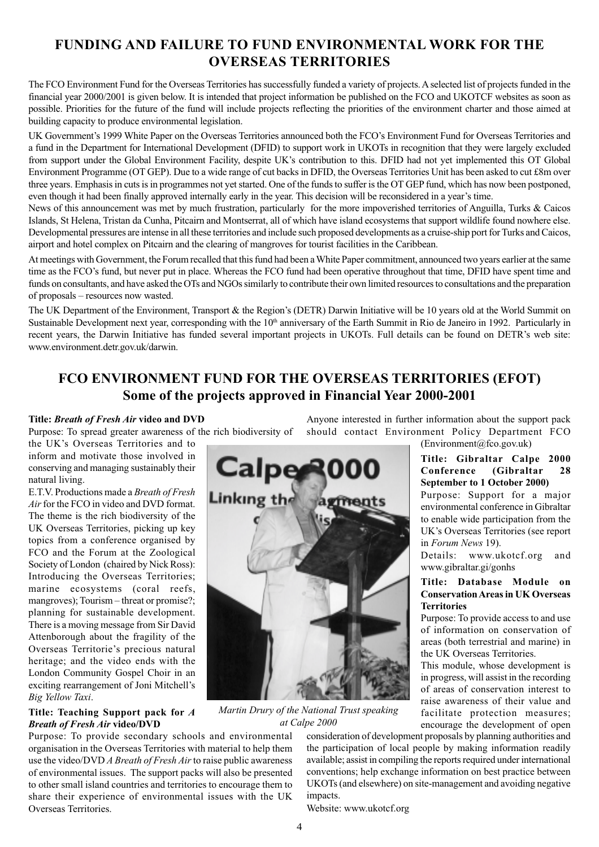# **FUNDING AND FAILURE TO FUND ENVIRONMENTAL WORK FOR THE OVERSEAS TERRITORIES**

The FCO Environment Fund for the Overseas Territories has successfully funded a variety of projects. A selected list of projects funded in the financial year 2000/2001 is given below. It is intended that project information be published on the FCO and UKOTCF websites as soon as possible. Priorities for the future of the fund will include projects reflecting the priorities of the environment charter and those aimed at building capacity to produce environmental legislation.

UK Government's 1999 White Paper on the Overseas Territories announced both the FCO's Environment Fund for Overseas Territories and a fund in the Department for International Development (DFID) to support work in UKOTs in recognition that they were largely excluded from support under the Global Environment Facility, despite UK's contribution to this. DFID had not yet implemented this OT Global Environment Programme (OT GEP). Due to a wide range of cut backs in DFID, the Overseas Territories Unit has been asked to cut £8m over three years. Emphasis in cuts is in programmes not yet started. One of the funds to suffer is the OT GEP fund, which has now been postponed, even though it had been finally approved internally early in the year. This decision will be reconsidered in a year's time.

News of this announcement was met by much frustration, particularly for the more impoverished territories of Anguilla, Turks & Caicos Islands, St Helena, Tristan da Cunha, Pitcairn and Montserrat, all of which have island ecosystems that support wildlife found nowhere else. Developmental pressures are intense in all these territories and include such proposed developments as a cruise-ship port for Turks and Caicos, airport and hotel complex on Pitcairn and the clearing of mangroves for tourist facilities in the Caribbean.

At meetings with Government, the Forum recalled that this fund had been a White Paper commitment, announced two years earlier at the same time as the FCO's fund, but never put in place. Whereas the FCO fund had been operative throughout that time, DFID have spent time and funds on consultants, and have asked the OTs and NGOs similarly to contribute their own limited resources to consultations and the preparation of proposals – resources now wasted.

The UK Department of the Environment, Transport & the Region's (DETR) Darwin Initiative will be 10 years old at the World Summit on Sustainable Development next year, corresponding with the 10<sup>th</sup> anniversary of the Earth Summit in Rio de Janeiro in 1992. Particularly in recent years, the Darwin Initiative has funded several important projects in UKOTs. Full details can be found on DETR's web site: www.environment.detr.gov.uk/darwin.

# **FCO ENVIRONMENT FUND FOR THE OVERSEAS TERRITORIES (EFOT) Some of the projects approved in Financial Year 2000-2001**

#### **Title:** *Breath of Fresh Air* **video and DVD**

Purpose: To spread greater awareness of the rich biodiversity of

the UK's Overseas Territories and to inform and motivate those involved in conserving and managing sustainably their natural living.

E.T.V. Productions made a *Breath of Fresh Air* for the FCO in video and DVD format. The theme is the rich biodiversity of the UK Overseas Territories, picking up key topics from a conference organised by FCO and the Forum at the Zoological Society of London (chaired by Nick Ross): Introducing the Overseas Territories; marine ecosystems (coral reefs, mangroves); Tourism – threat or promise?; planning for sustainable development. There is a moving message from Sir David Attenborough about the fragility of the Overseas Territorie's precious natural heritage; and the video ends with the London Community Gospel Choir in an exciting rearrangement of Joni Mitchell's *Big Yellow Taxi*.

#### **Title: Teaching Support pack for** *A Breath of Fresh Air* **video/DVD**

Purpose: To provide secondary schools and environmental organisation in the Overseas Territories with material to help them use the video/DVD *A Breath of Fresh Air* to raise public awareness of environmental issues. The support packs will also be presented to other small island countries and territories to encourage them to share their experience of environmental issues with the UK Overseas Territories.



*Martin Drury of the National Trust speaking at Calpe 2000*

Anyone interested in further information about the support pack should contact Environment Policy Department FCO (Environment@fco.gov.uk)

### **Title: Gibraltar Calpe 2000 Conference (Gibraltar 28 September to 1 October 2000)**

Purpose: Support for a major environmental conference in Gibraltar to enable wide participation from the UK's Overseas Territories (see report in *Forum News* 19).

Details: www.ukotcf.org and www.gibraltar.gi/gonhs

#### **Title: Database Module on Conservation Areas in UK Overseas Territories**

Purpose: To provide access to and use of information on conservation of areas (both terrestrial and marine) in the UK Overseas Territories.

This module, whose development is in progress, will assist in the recording of areas of conservation interest to raise awareness of their value and facilitate protection measures; encourage the development of open

consideration of development proposals by planning authorities and the participation of local people by making information readily available; assist in compiling the reports required under international conventions; help exchange information on best practice between UKOTs (and elsewhere) on site-management and avoiding negative impacts.

Website: www.ukotcf.org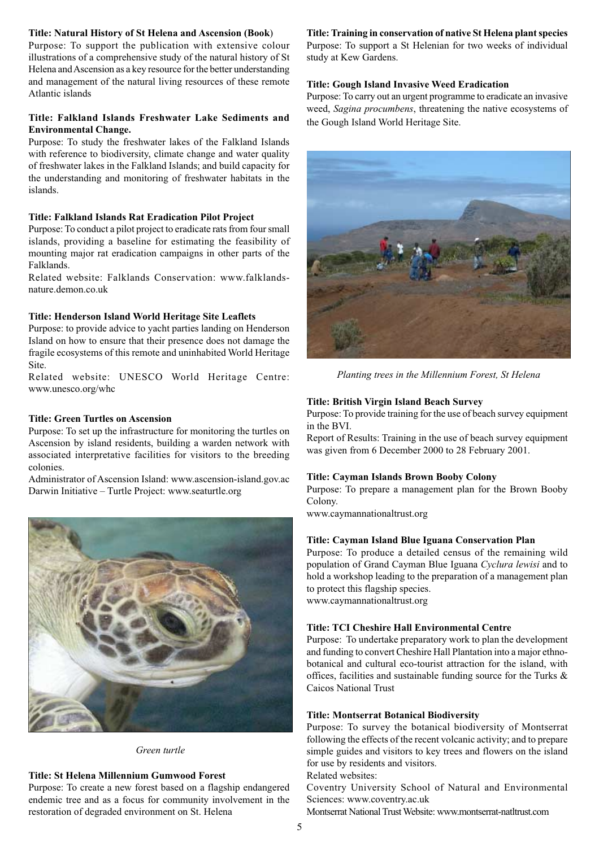#### **Title: Natural History of St Helena and Ascension (Book**)

Purpose: To support the publication with extensive colour illustrations of a comprehensive study of the natural history of St Helena and Ascension as a key resource for the better understanding and management of the natural living resources of these remote Atlantic islands

#### **Title: Falkland Islands Freshwater Lake Sediments and Environmental Change.**

Purpose: To study the freshwater lakes of the Falkland Islands with reference to biodiversity, climate change and water quality of freshwater lakes in the Falkland Islands; and build capacity for the understanding and monitoring of freshwater habitats in the islands.

### **Title: Falkland Islands Rat Eradication Pilot Project**

Purpose: To conduct a pilot project to eradicate rats from four small islands, providing a baseline for estimating the feasibility of mounting major rat eradication campaigns in other parts of the Falklands.

Related website: Falklands Conservation: www.falklandsnature.demon.co.uk

### **Title: Henderson Island World Heritage Site Leaflets**

Purpose: to provide advice to yacht parties landing on Henderson Island on how to ensure that their presence does not damage the fragile ecosystems of this remote and uninhabited World Heritage Site.

Related website: UNESCO World Heritage Centre: www.unesco.org/whc

### **Title: Green Turtles on Ascension**

Purpose: To set up the infrastructure for monitoring the turtles on Ascension by island residents, building a warden network with associated interpretative facilities for visitors to the breeding colonies.

Administrator of Ascension Island: www.ascension-island.gov.ac Darwin Initiative – Turtle Project: www.seaturtle.org



*Green turtle*

### **Title: St Helena Millennium Gumwood Forest**

Purpose: To create a new forest based on a flagship endangered endemic tree and as a focus for community involvement in the restoration of degraded environment on St. Helena

### **Title: Training in conservation of native St Helena plant species**

Purpose: To support a St Helenian for two weeks of individual study at Kew Gardens.

### **Title: Gough Island Invasive Weed Eradication**

Purpose: To carry out an urgent programme to eradicate an invasive weed, *Sagina procumbens*, threatening the native ecosystems of the Gough Island World Heritage Site.



*Planting trees in the Millennium Forest, St Helena*

#### **Title: British Virgin Island Beach Survey**

Purpose: To provide training for the use of beach survey equipment in the BVI.

Report of Results: Training in the use of beach survey equipment was given from 6 December 2000 to 28 February 2001.

#### **Title: Cayman Islands Brown Booby Colony**

Purpose: To prepare a management plan for the Brown Booby Colony.

www.caymannationaltrust.org

#### **Title: Cayman Island Blue Iguana Conservation Plan**

Purpose: To produce a detailed census of the remaining wild population of Grand Cayman Blue Iguana *Cyclura lewisi* and to hold a workshop leading to the preparation of a management plan to protect this flagship species. www.caymannationaltrust.org

#### **Title: TCI Cheshire Hall Environmental Centre**

Purpose: To undertake preparatory work to plan the development and funding to convert Cheshire Hall Plantation into a major ethnobotanical and cultural eco-tourist attraction for the island, with offices, facilities and sustainable funding source for the Turks & Caicos National Trust

#### **Title: Montserrat Botanical Biodiversity**

Purpose: To survey the botanical biodiversity of Montserrat following the effects of the recent volcanic activity; and to prepare simple guides and visitors to key trees and flowers on the island for use by residents and visitors.

Related websites:

Coventry University School of Natural and Environmental Sciences: www.coventry.ac.uk

Montserrat National Trust Website: www.montserrat-natltrust.com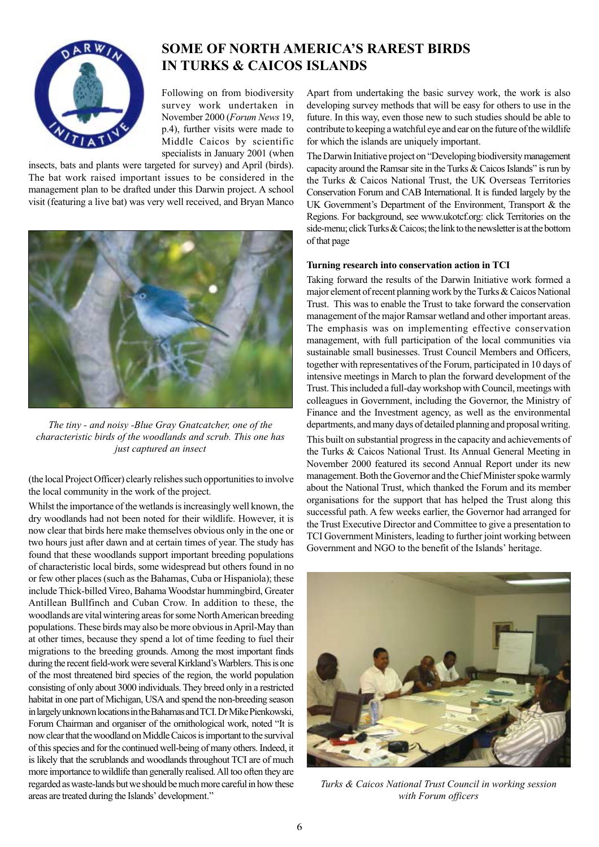

# **SOME OF NORTH AMERICA'S RAREST BIRDS IN TURKS & CAICOS ISLANDS**

Following on from biodiversity survey work undertaken in November 2000 (*Forum News* 19, p.4), further visits were made to Middle Caicos by scientific specialists in January 2001 (when

insects, bats and plants were targeted for survey) and April (birds). The bat work raised important issues to be considered in the management plan to be drafted under this Darwin project. A school visit (featuring a live bat) was very well received, and Bryan Manco



*The tiny - and noisy -Blue Gray Gnatcatcher, one of the characteristic birds of the woodlands and scrub. This one has just captured an insect*

(the local Project Officer) clearly relishes such opportunities to involve the local community in the work of the project.

Whilst the importance of the wetlands is increasingly well known, the dry woodlands had not been noted for their wildlife. However, it is now clear that birds here make themselves obvious only in the one or two hours just after dawn and at certain times of year. The study has found that these woodlands support important breeding populations of characteristic local birds, some widespread but others found in no or few other places (such as the Bahamas, Cuba or Hispaniola); these include Thick-billed Vireo, Bahama Woodstar hummingbird, Greater Antillean Bullfinch and Cuban Crow. In addition to these, the woodlands are vital wintering areas for some North American breeding populations. These birds may also be more obvious in April-May than at other times, because they spend a lot of time feeding to fuel their migrations to the breeding grounds. Among the most important finds during the recent field-work were several Kirkland's Warblers. This is one of the most threatened bird species of the region, the world population consisting of only about 3000 individuals. They breed only in a restricted habitat in one part of Michigan, USA and spend the non-breeding season in largely unknown locations in the Bahamas and TCI. Dr Mike Pienkowski, Forum Chairman and organiser of the ornithological work, noted "It is now clear that the woodland on Middle Caicos is important to the survival of this species and for the continued well-being of many others. Indeed, it is likely that the scrublands and woodlands throughout TCI are of much more importance to wildlife than generally realised. All too often they are regarded as waste-lands but we should be much more careful in how these areas are treated during the Islands' development."

Apart from undertaking the basic survey work, the work is also developing survey methods that will be easy for others to use in the future. In this way, even those new to such studies should be able to contribute to keeping a watchful eye and ear on the future of the wildlife for which the islands are uniquely important.

The Darwin Initiative project on "Developing biodiversity management capacity around the Ramsar site in the Turks & Caicos Islands" is run by the Turks & Caicos National Trust, the UK Overseas Territories Conservation Forum and CAB International. It is funded largely by the UK Government's Department of the Environment, Transport & the Regions. For background, see www.ukotcf.org: click Territories on the side-menu; click Turks & Caicos; the link to the newsletter is at the bottom of that page

#### **Turning research into conservation action in TCI**

Taking forward the results of the Darwin Initiative work formed a major element of recent planning work by the Turks & Caicos National Trust. This was to enable the Trust to take forward the conservation management of the major Ramsar wetland and other important areas. The emphasis was on implementing effective conservation management, with full participation of the local communities via sustainable small businesses. Trust Council Members and Officers, together with representatives of the Forum, participated in 10 days of intensive meetings in March to plan the forward development of the Trust. This included a full-day workshop with Council, meetings with colleagues in Government, including the Governor, the Ministry of Finance and the Investment agency, as well as the environmental departments, and many days of detailed planning and proposal writing.

This built on substantial progress in the capacity and achievements of the Turks & Caicos National Trust. Its Annual General Meeting in November 2000 featured its second Annual Report under its new management. Both the Governor and the Chief Minister spoke warmly about the National Trust, which thanked the Forum and its member organisations for the support that has helped the Trust along this successful path. A few weeks earlier, the Governor had arranged for the Trust Executive Director and Committee to give a presentation to TCI Government Ministers, leading to further joint working between Government and NGO to the benefit of the Islands' heritage.



*Turks & Caicos National Trust Council in working session with Forum officers*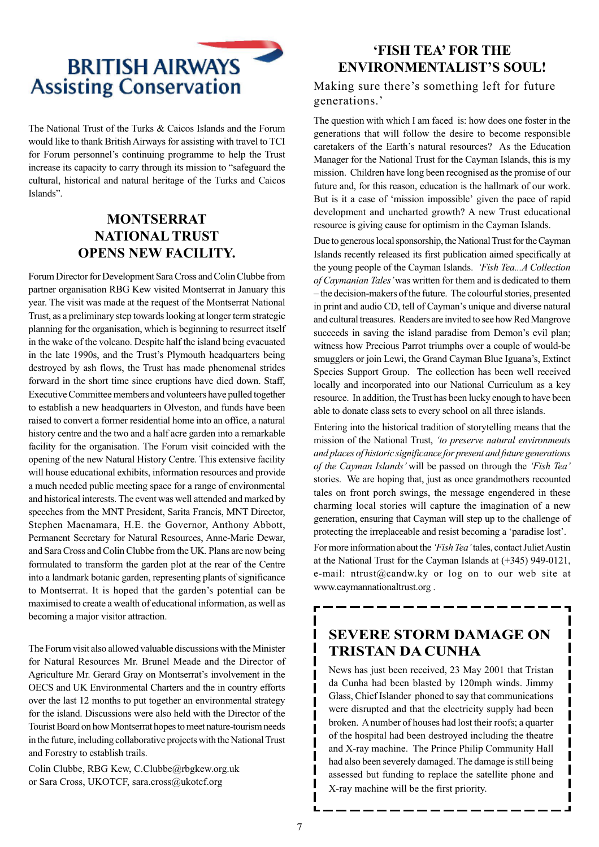

The National Trust of the Turks & Caicos Islands and the Forum would like to thank British Airways for assisting with travel to TCI for Forum personnel's continuing programme to help the Trust increase its capacity to carry through its mission to "safeguard the cultural, historical and natural heritage of the Turks and Caicos Islands".

# **MONTSERRAT NATIONAL TRUST OPENS NEW FACILITY.**

Forum Director for Development Sara Cross and Colin Clubbe from partner organisation RBG Kew visited Montserrat in January this year. The visit was made at the request of the Montserrat National Trust, as a preliminary step towards looking at longer term strategic planning for the organisation, which is beginning to resurrect itself in the wake of the volcano. Despite half the island being evacuated in the late 1990s, and the Trust's Plymouth headquarters being destroyed by ash flows, the Trust has made phenomenal strides forward in the short time since eruptions have died down. Staff, Executive Committee members and volunteers have pulled together to establish a new headquarters in Olveston, and funds have been raised to convert a former residential home into an office, a natural history centre and the two and a half acre garden into a remarkable facility for the organisation. The Forum visit coincided with the opening of the new Natural History Centre. This extensive facility will house educational exhibits, information resources and provide a much needed public meeting space for a range of environmental and historical interests. The event was well attended and marked by speeches from the MNT President, Sarita Francis, MNT Director, Stephen Macnamara, H.E. the Governor, Anthony Abbott, Permanent Secretary for Natural Resources, Anne-Marie Dewar, and Sara Cross and Colin Clubbe from the UK. Plans are now being formulated to transform the garden plot at the rear of the Centre into a landmark botanic garden, representing plants of significance to Montserrat. It is hoped that the garden's potential can be maximised to create a wealth of educational information, as well as becoming a major visitor attraction.

The Forum visit also allowed valuable discussions with the Minister for Natural Resources Mr. Brunel Meade and the Director of Agriculture Mr. Gerard Gray on Montserrat's involvement in the OECS and UK Environmental Charters and the in country efforts over the last 12 months to put together an environmental strategy for the island. Discussions were also held with the Director of the Tourist Board on how Montserrat hopes to meet nature-tourism needs in the future, including collaborative projects with the National Trust and Forestry to establish trails.

Colin Clubbe, RBG Kew, C.Clubbe@rbgkew.org.uk or Sara Cross, UKOTCF, sara.cross@ukotcf.org

# **'FISH TEA' FOR THE ENVIRONMENTALIST'S SOUL!**

### Making sure there's something left for future generations.'

The question with which I am faced is: how does one foster in the generations that will follow the desire to become responsible caretakers of the Earth's natural resources? As the Education Manager for the National Trust for the Cayman Islands, this is my mission. Children have long been recognised as the promise of our future and, for this reason, education is the hallmark of our work. But is it a case of 'mission impossible' given the pace of rapid development and uncharted growth? A new Trust educational resource is giving cause for optimism in the Cayman Islands.

Due to generous local sponsorship, the National Trust for the Cayman Islands recently released its first publication aimed specifically at the young people of the Cayman Islands. *'Fish Tea...A Collection of Caymanian Tales'* was written for them and is dedicated to them – the decision-makers of the future. The colourful stories, presented in print and audio CD, tell of Cayman's unique and diverse natural and cultural treasures. Readers are invited to see how Red Mangrove succeeds in saving the island paradise from Demon's evil plan; witness how Precious Parrot triumphs over a couple of would-be smugglers or join Lewi, the Grand Cayman Blue Iguana's, Extinct Species Support Group. The collection has been well received locally and incorporated into our National Curriculum as a key resource. In addition, the Trust has been lucky enough to have been able to donate class sets to every school on all three islands.

Entering into the historical tradition of storytelling means that the mission of the National Trust, *'to preserve natural environments and places of historic significance for present and future generations of the Cayman Islands'* will be passed on through the *'Fish Tea'* stories. We are hoping that, just as once grandmothers recounted tales on front porch swings, the message engendered in these charming local stories will capture the imagination of a new generation, ensuring that Cayman will step up to the challenge of protecting the irreplaceable and resist becoming a 'paradise lost'.

For more information about the *'Fish Tea'* tales, contact Juliet Austin at the National Trust for the Cayman Islands at (+345) 949-0121, e-mail: ntrust@candw.ky or log on to our web site at www.caymannationaltrust.org .

# **SEVERE STORM DAMAGE ON TRISTAN DA CUNHA**

News has just been received, 23 May 2001 that Tristan da Cunha had been blasted by 120mph winds. Jimmy Glass, Chief Islander phoned to say that communications were disrupted and that the electricity supply had been broken. A number of houses had lost their roofs; a quarter of the hospital had been destroyed including the theatre and X-ray machine. The Prince Philip Community Hall had also been severely damaged. The damage is still being assessed but funding to replace the satellite phone and X-ray machine will be the first priority.

I  $\mathbf{I}$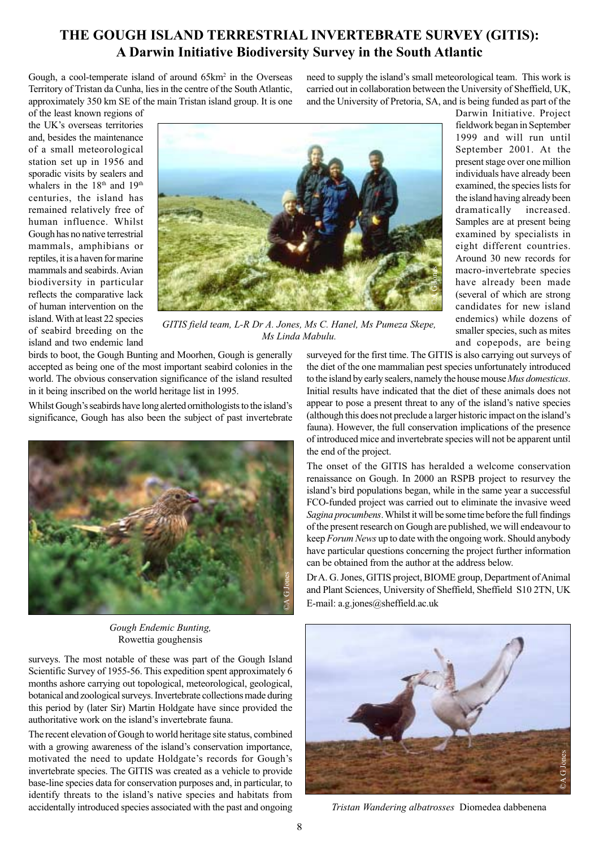# **THE GOUGH ISLAND TERRESTRIAL INVERTEBRATE SURVEY (GITIS): A Darwin Initiative Biodiversity Survey in the South Atlantic**

Gough, a cool-temperate island of around 65km<sup>2</sup> in the Overseas Territory of Tristan da Cunha, lies in the centre of the South Atlantic, approximately 350 km SE of the main Tristan island group. It is one need to supply the island's small meteorological team. This work is carried out in collaboration between the University of Sheffield, UK, and the University of Pretoria, SA, and is being funded as part of the

> Darwin Initiative. Project fieldwork began in September 1999 and will run until September 2001. At the present stage over one million individuals have already been examined, the species lists for the island having already been dramatically increased. Samples are at present being examined by specialists in eight different countries. Around 30 new records for macro-invertebrate species have already been made (several of which are strong candidates for new island

of the least known regions of the UK's overseas territories and, besides the maintenance of a small meteorological station set up in 1956 and sporadic visits by sealers and whalers in the 18<sup>th</sup> and 19<sup>th</sup> centuries, the island has remained relatively free of human influence. Whilst Gough has no native terrestrial mammals, amphibians or reptiles, it is a haven for marine mammals and seabirds. Avian biodiversity in particular reflects the comparative lack of human intervention on the island. With at least 22 species of seabird breeding on the island and two endemic land



*GITIS field team, L-R Dr A. Jones, Ms C. Hanel, Ms Pumeza Skepe, Ms Linda Mabulu.*

birds to boot, the Gough Bunting and Moorhen, Gough is generally accepted as being one of the most important seabird colonies in the world. The obvious conservation significance of the island resulted in it being inscribed on the world heritage list in 1995.

Whilst Gough's seabirds have long alerted ornithologists to the island's significance, Gough has also been the subject of past invertebrate



*Gough Endemic Bunting,* Rowettia goughensis

surveys. The most notable of these was part of the Gough Island Scientific Survey of 1955-56. This expedition spent approximately 6 months ashore carrying out topological, meteorological, geological, botanical and zoological surveys. Invertebrate collections made during this period by (later Sir) Martin Holdgate have since provided the authoritative work on the island's invertebrate fauna.

The recent elevation of Gough to world heritage site status, combined with a growing awareness of the island's conservation importance, motivated the need to update Holdgate's records for Gough's invertebrate species. The GITIS was created as a vehicle to provide base-line species data for conservation purposes and, in particular, to identify threats to the island's native species and habitats from accidentally introduced species associated with the past and ongoing

endemics) while dozens of smaller species, such as mites and copepods, are being surveyed for the first time. The GITIS is also carrying out surveys of the diet of the one mammalian pest species unfortunately introduced to the island by early sealers, namely the house mouse *Mus domesticus*. Initial results have indicated that the diet of these animals does not appear to pose a present threat to any of the island's native species (although this does not preclude a larger historic impact on the island's fauna). However, the full conservation implications of the presence of introduced mice and invertebrate species will not be apparent until the end of the project.

The onset of the GITIS has heralded a welcome conservation renaissance on Gough. In 2000 an RSPB project to resurvey the island's bird populations began, while in the same year a successful FCO-funded project was carried out to eliminate the invasive weed *Sagina procumbens*. Whilst it will be some time before the full findings of the present research on Gough are published, we will endeavour to keep *Forum News* up to date with the ongoing work. Should anybody have particular questions concerning the project further information can be obtained from the author at the address below.

Dr A. G. Jones, GITIS project, BIOME group, Department of Animal and Plant Sciences, University of Sheffield, Sheffield S10 2TN, UK E-mail: a.g.jones@sheffield.ac.uk



*Tristan Wandering albatrosses* Diomedea dabbenena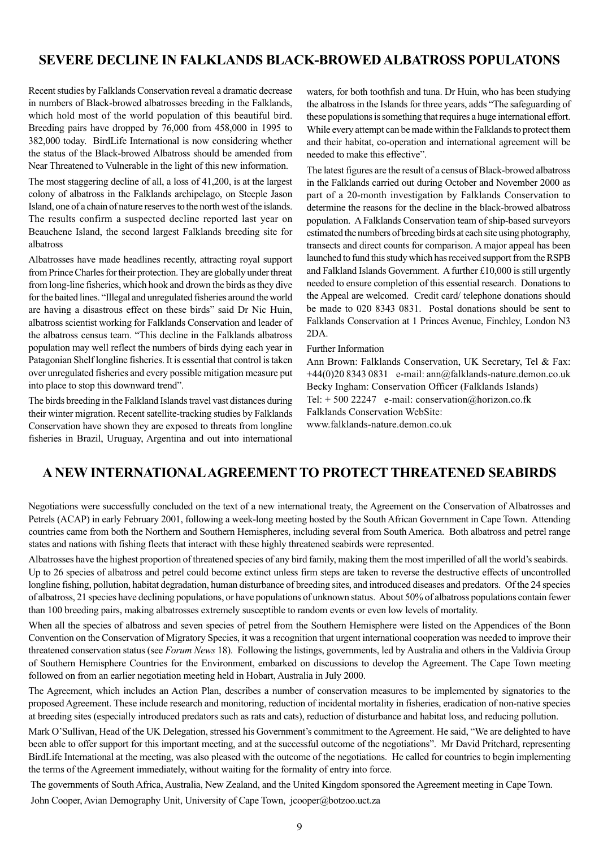# **SEVERE DECLINE IN FALKLANDS BLACK-BROWED ALBATROSS POPULATONS**

Recent studies by Falklands Conservation reveal a dramatic decrease in numbers of Black-browed albatrosses breeding in the Falklands, which hold most of the world population of this beautiful bird. Breeding pairs have dropped by 76,000 from 458,000 in 1995 to 382,000 today. BirdLife International is now considering whether the status of the Black-browed Albatross should be amended from Near Threatened to Vulnerable in the light of this new information.

The most staggering decline of all, a loss of 41,200, is at the largest colony of albatross in the Falklands archipelago, on Steeple Jason Island, one of a chain of nature reserves to the north west of the islands. The results confirm a suspected decline reported last year on Beauchene Island, the second largest Falklands breeding site for albatross

Albatrosses have made headlines recently, attracting royal support from Prince Charles for their protection. They are globally under threat from long-line fisheries, which hook and drown the birds as they dive for the baited lines. "Illegal and unregulated fisheries around the world are having a disastrous effect on these birds" said Dr Nic Huin, albatross scientist working for Falklands Conservation and leader of the albatross census team. "This decline in the Falklands albatross population may well reflect the numbers of birds dying each year in Patagonian Shelf longline fisheries. It is essential that control is taken over unregulated fisheries and every possible mitigation measure put into place to stop this downward trend".

The birds breeding in the Falkland Islands travel vast distances during their winter migration. Recent satellite-tracking studies by Falklands Conservation have shown they are exposed to threats from longline fisheries in Brazil, Uruguay, Argentina and out into international waters, for both toothfish and tuna. Dr Huin, who has been studying the albatross in the Islands for three years, adds "The safeguarding of these populations is something that requires a huge international effort. While every attempt can be made within the Falklands to protect them and their habitat, co-operation and international agreement will be needed to make this effective".

The latest figures are the result of a census of Black-browed albatross in the Falklands carried out during October and November 2000 as part of a 20-month investigation by Falklands Conservation to determine the reasons for the decline in the black-browed albatross population. A Falklands Conservation team of ship-based surveyors estimated the numbers of breeding birds at each site using photography, transects and direct counts for comparison. A major appeal has been launched to fund this study which has received support from the RSPB and Falkland Islands Government. A further £10,000 is still urgently needed to ensure completion of this essential research. Donations to the Appeal are welcomed. Credit card/ telephone donations should be made to 020 8343 0831. Postal donations should be sent to Falklands Conservation at 1 Princes Avenue, Finchley, London N3 2DA.

#### Further Information

Ann Brown: Falklands Conservation, UK Secretary, Tel & Fax: +44(0)20 8343 0831 e-mail: ann@falklands-nature.demon.co.uk Becky Ingham: Conservation Officer (Falklands Islands) Tel: + 500 22247 e-mail: conservation@horizon.co.fk Falklands Conservation WebSite:

www.falklands-nature.demon.co.uk

### **A NEW INTERNATIONAL AGREEMENT TO PROTECT THREATENED SEABIRDS**

Negotiations were successfully concluded on the text of a new international treaty, the Agreement on the Conservation of Albatrosses and Petrels (ACAP) in early February 2001, following a week-long meeting hosted by the South African Government in Cape Town. Attending countries came from both the Northern and Southern Hemispheres, including several from South America. Both albatross and petrel range states and nations with fishing fleets that interact with these highly threatened seabirds were represented.

Albatrosses have the highest proportion of threatened species of any bird family, making them the most imperilled of all the world's seabirds. Up to 26 species of albatross and petrel could become extinct unless firm steps are taken to reverse the destructive effects of uncontrolled longline fishing, pollution, habitat degradation, human disturbance of breeding sites, and introduced diseases and predators. Of the 24 species of albatross, 21 species have declining populations, or have populations of unknown status. About 50% of albatross populations contain fewer than 100 breeding pairs, making albatrosses extremely susceptible to random events or even low levels of mortality.

When all the species of albatross and seven species of petrel from the Southern Hemisphere were listed on the Appendices of the Bonn Convention on the Conservation of Migratory Species, it was a recognition that urgent international cooperation was needed to improve their threatened conservation status (see *Forum News* 18). Following the listings, governments, led by Australia and others in the Valdivia Group of Southern Hemisphere Countries for the Environment, embarked on discussions to develop the Agreement. The Cape Town meeting followed on from an earlier negotiation meeting held in Hobart, Australia in July 2000.

The Agreement, which includes an Action Plan, describes a number of conservation measures to be implemented by signatories to the proposed Agreement. These include research and monitoring, reduction of incidental mortality in fisheries, eradication of non-native species at breeding sites (especially introduced predators such as rats and cats), reduction of disturbance and habitat loss, and reducing pollution.

Mark O'Sullivan, Head of the UK Delegation, stressed his Government's commitment to the Agreement. He said, "We are delighted to have been able to offer support for this important meeting, and at the successful outcome of the negotiations". Mr David Pritchard, representing BirdLife International at the meeting, was also pleased with the outcome of the negotiations. He called for countries to begin implementing the terms of the Agreement immediately, without waiting for the formality of entry into force.

 The governments of South Africa, Australia, New Zealand, and the United Kingdom sponsored the Agreement meeting in Cape Town. John Cooper, Avian Demography Unit, University of Cape Town, jcooper@botzoo.uct.za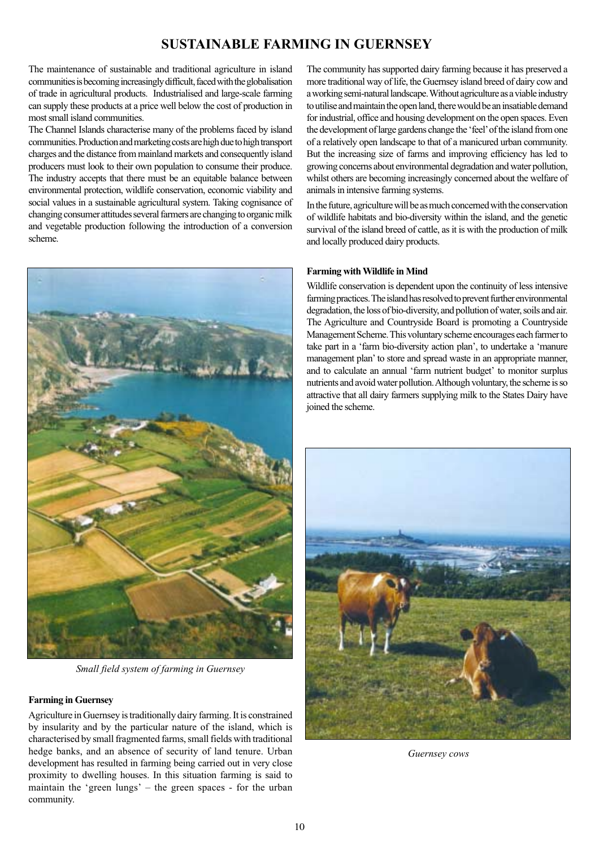# **SUSTAINABLE FARMING IN GUERNSEY**

The maintenance of sustainable and traditional agriculture in island communities is becoming increasingly difficult, faced with the globalisation of trade in agricultural products. Industrialised and large-scale farming can supply these products at a price well below the cost of production in most small island communities.

The Channel Islands characterise many of the problems faced by island communities. Production and marketing costs are high due to high transport charges and the distance from mainland markets and consequently island producers must look to their own population to consume their produce. The industry accepts that there must be an equitable balance between environmental protection, wildlife conservation, economic viability and social values in a sustainable agricultural system. Taking cognisance of changing consumer attitudes several farmers are changing to organic milk and vegetable production following the introduction of a conversion scheme.



*Small field system of farming in Guernsey*

#### **Farming in Guernsey**

Agriculture in Guernsey is traditionally dairy farming. It is constrained by insularity and by the particular nature of the island, which is characterised by small fragmented farms, small fields with traditional hedge banks, and an absence of security of land tenure. Urban development has resulted in farming being carried out in very close proximity to dwelling houses. In this situation farming is said to maintain the 'green lungs' – the green spaces - for the urban community.

The community has supported dairy farming because it has preserved a more traditional way of life, the Guernsey island breed of dairy cow and a working semi-natural landscape. Without agriculture as a viable industry to utilise and maintain the open land, there would be an insatiable demand for industrial, office and housing development on the open spaces. Even the development of large gardens change the 'feel' of the island from one of a relatively open landscape to that of a manicured urban community. But the increasing size of farms and improving efficiency has led to growing concerns about environmental degradation and water pollution, whilst others are becoming increasingly concerned about the welfare of animals in intensive farming systems.

In the future, agriculture will be as much concerned with the conservation of wildlife habitats and bio-diversity within the island, and the genetic survival of the island breed of cattle, as it is with the production of milk and locally produced dairy products.

#### **Farming with Wildlife in Mind**

Wildlife conservation is dependent upon the continuity of less intensive farming practices. The island has resolved to prevent further environmental degradation, the loss of bio-diversity, and pollution of water, soils and air. The Agriculture and Countryside Board is promoting a Countryside Management Scheme. This voluntary scheme encourages each farmer to take part in a 'farm bio-diversity action plan', to undertake a 'manure management plan' to store and spread waste in an appropriate manner, and to calculate an annual 'farm nutrient budget' to monitor surplus nutrients and avoid water pollution. Although voluntary, the scheme is so attractive that all dairy farmers supplying milk to the States Dairy have joined the scheme.



*Guernsey cows*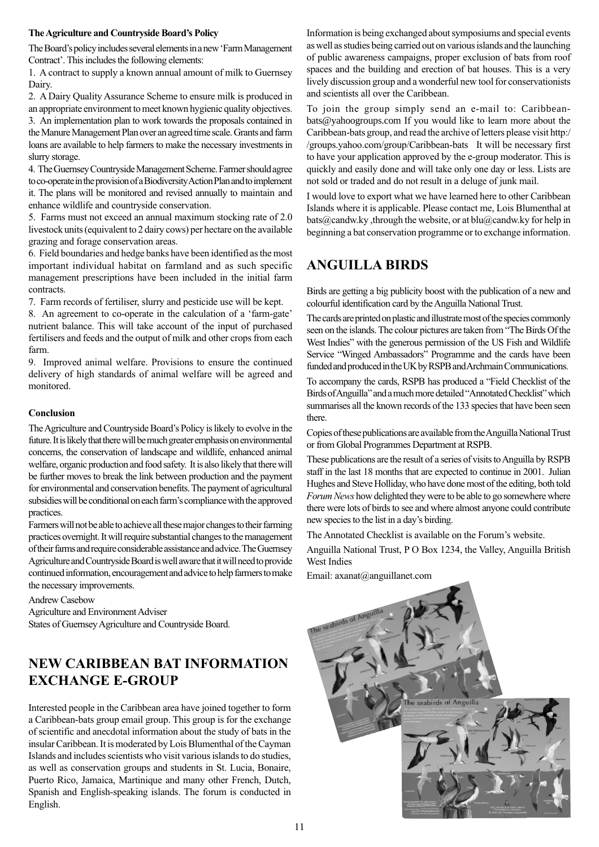#### **The Agriculture and Countryside Board's Policy**

The Board's policy includes several elements in a new 'Farm Management Contract'. This includes the following elements:

1. A contract to supply a known annual amount of milk to Guernsey Dairy.

2. A Dairy Quality Assurance Scheme to ensure milk is produced in an appropriate environment to meet known hygienic quality objectives. 3. An implementation plan to work towards the proposals contained in the Manure Management Plan over an agreed time scale. Grants and farm loans are available to help farmers to make the necessary investments in

slurry storage. 4. The Guernsey Countryside Management Scheme. Farmer should agree to co-operate in the provision of a Biodiversity Action Plan and to implement

it. The plans will be monitored and revised annually to maintain and enhance wildlife and countryside conservation.

5. Farms must not exceed an annual maximum stocking rate of 2.0 livestock units (equivalent to 2 dairy cows) per hectare on the available grazing and forage conservation areas.

6. Field boundaries and hedge banks have been identified as the most important individual habitat on farmland and as such specific management prescriptions have been included in the initial farm contracts.

7. Farm records of fertiliser, slurry and pesticide use will be kept.

8. An agreement to co-operate in the calculation of a 'farm-gate' nutrient balance. This will take account of the input of purchased fertilisers and feeds and the output of milk and other crops from each farm.

9. Improved animal welfare. Provisions to ensure the continued delivery of high standards of animal welfare will be agreed and monitored.

#### **Conclusion**

The Agriculture and Countryside Board's Policy is likely to evolve in the future. It is likely that there will be much greater emphasis on environmental concerns, the conservation of landscape and wildlife, enhanced animal welfare, organic production and food safety. It is also likely that there will be further moves to break the link between production and the payment for environmental and conservation benefits. The payment of agricultural subsidies will be conditional on each farm's compliance with the approved practices.

Farmers will not be able to achieve all these major changes to their farming practices overnight. It will require substantial changes to the management of their farms and require considerable assistance and advice. The Guernsey Agriculture and Countryside Board is well aware that it will need to provide continued information, encouragement and advice to help farmers to make the necessary improvements.

Andrew Casebow Agriculture and Environment Adviser States of Guernsey Agriculture and Countryside Board.

# **NEW CARIBBEAN BAT INFORMATION EXCHANGE E-GROUP**

Interested people in the Caribbean area have joined together to form a Caribbean-bats group email group. This group is for the exchange of scientific and anecdotal information about the study of bats in the insular Caribbean. It is moderated by Lois Blumenthal of the Cayman Islands and includes scientists who visit various islands to do studies, as well as conservation groups and students in St. Lucia, Bonaire, Puerto Rico, Jamaica, Martinique and many other French, Dutch, Spanish and English-speaking islands. The forum is conducted in English.

Information is being exchanged about symposiums and special events as well as studies being carried out on various islands and the launching of public awareness campaigns, proper exclusion of bats from roof spaces and the building and erection of bat houses. This is a very lively discussion group and a wonderful new tool for conservationists and scientists all over the Caribbean.

To join the group simply send an e-mail to: Caribbeanbats@yahoogroups.com If you would like to learn more about the Caribbean-bats group, and read the archive of letters please visit http:/ /groups.yahoo.com/group/Caribbean-bats It will be necessary first to have your application approved by the e-group moderator. This is quickly and easily done and will take only one day or less. Lists are not sold or traded and do not result in a deluge of junk mail.

I would love to export what we have learned here to other Caribbean Islands where it is applicable. Please contact me, Lois Blumenthal at bats@candw.ky, through the website, or at blu@candw.ky for help in beginning a bat conservation programme or to exchange information.

# **ANGUILLA BIRDS**

Birds are getting a big publicity boost with the publication of a new and colourful identification card by the Anguilla National Trust.

The cards are printed on plastic and illustrate most of the species commonly seen on the islands. The colour pictures are taken from "The Birds Of the West Indies" with the generous permission of the US Fish and Wildlife Service "Winged Ambassadors" Programme and the cards have been funded and produced in the UK by RSPB and Archmain Communications.

To accompany the cards, RSPB has produced a "Field Checklist of the Birds of Anguilla" and a much more detailed "Annotated Checklist" which summarises all the known records of the 133 species that have been seen there.

Copies of these publications are available from the Anguilla National Trust or from Global Programmes Department at RSPB.

These publications are the result of a series of visits to Anguilla by RSPB staff in the last 18 months that are expected to continue in 2001. Julian Hughes and Steve Holliday, who have done most of the editing, both told *Forum News* how delighted they were to be able to go somewhere where there were lots of birds to see and where almost anyone could contribute new species to the list in a day's birding.

The Annotated Checklist is available on the Forum's website.

Anguilla National Trust, P O Box 1234, the Valley, Anguilla British West Indies

Email: axanat@anguillanet.com